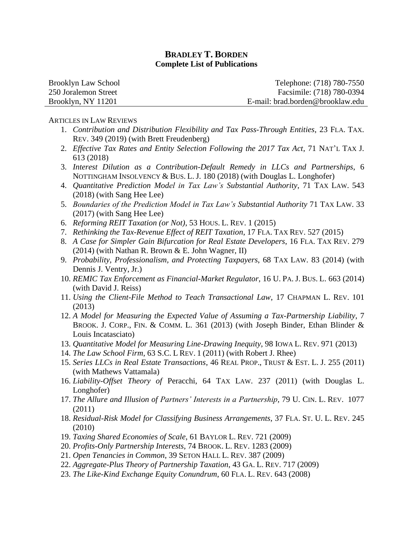| Brooklyn Law School  | Telephone: (718) 780-7550        |
|----------------------|----------------------------------|
| 250 Joralemon Street | Facsimile: (718) 780-0394        |
| Brooklyn, NY 11201   | E-mail: brad.borden@brooklaw.edu |

#### ARTICLES IN LAW REVIEWS

- 1. *Contribution and Distribution Flexibility and Tax Pass-Through Entities*, 23 FLA. TAX. REV. 349 (2019) (with Brett Freudenberg)
- 2. *Effective Tax Rates and Entity Selection Following the 2017 Tax Act*, 71 NAT'L TAX J. 613 (2018)
- 3. *Interest Dilution as a Contribution-Default Remedy in LLCs and Partnerships*, 6 NOTTINGHAM INSOLVENCY & BUS. L. J. 180 (2018) (with Douglas L. Longhofer)
- 4. *Quantitative Prediction Model in Tax Law's Substantial Authority*, 71 TAX LAW. 543 (2018) (with Sang Hee Lee)
- 5. *Boundaries of the Prediction Model in Tax Law's Substantial Authority* 71 TAX LAW. 33 (2017) (with Sang Hee Lee)
- 6. *Reforming REIT Taxation (or Not)*, 53 HOUS. L. REV. 1 (2015)
- 7. *Rethinking the Tax-Revenue Effect of REIT Taxation*, 17 FLA. TAX REV. 527 (2015)
- 8. *A Case for Simpler Gain Bifurcation for Real Estate Developers*, 16 FLA. TAX REV. 279 (2014) (with Nathan R. Brown & E. John Wagner, II)
- 9. *Probability, Professionalism, and Protecting Taxpayers*, 68 TAX LAW. 83 (2014) (with Dennis J. Ventry, Jr.)
- 10. *REMIC Tax Enforcement as Financial-Market Regulator*, 16 U. PA. J. BUS. L. 663 (2014) (with David J. Reiss)
- 11. *Using the Client-File Method to Teach Transactional Law*, 17 CHAPMAN L. REV. 101 (2013)
- 12. *A Model for Measuring the Expected Value of Assuming a Tax-Partnership Liability*, 7 BROOK. J. CORP., FIN. & COMM. L. 361 (2013) (with Joseph Binder, Ethan Blinder & Louis Incatasciato)
- 13. *Quantitative Model for Measuring Line-Drawing Inequity*, 98 IOWA L. REV. 971 (2013)
- 14. *The Law School Firm*, 63 S.C. L REV. 1 (2011) (with Robert J. Rhee)
- 15. *Series LLCs in Real Estate Transactions*, 46 REAL PROP., TRUST & EST. L. J. 255 (2011) (with Mathews Vattamala)
- 16. *Liability-Offset Theory of* Peracchi, 64 TAX LAW. 237 (2011) (with Douglas L. Longhofer)
- 17. *The Allure and Illusion of Partners' Interests in a Partnership*, 79 U. CIN. L. REV. 1077 (2011)
- 18. *Residual-Risk Model for Classifying Business Arrangements*, 37 FLA. ST. U. L. REV. 245 (2010)
- 19. *Taxing Shared Economies of Scale*, 61 BAYLOR L. REV. 721 (2009)
- 20. *Profits-Only Partnership Interests*, 74 BROOK. L. REV. 1283 (2009)
- 21. *Open Tenancies in Common*, 39 SETON HALL L. REV. 387 (2009)
- 22. *Aggregate-Plus Theory of Partnership Taxation*, 43 GA. L. REV. 717 (2009)
- 23. *The Like-Kind Exchange Equity Conundrum*, 60 FLA. L. REV. 643 (2008)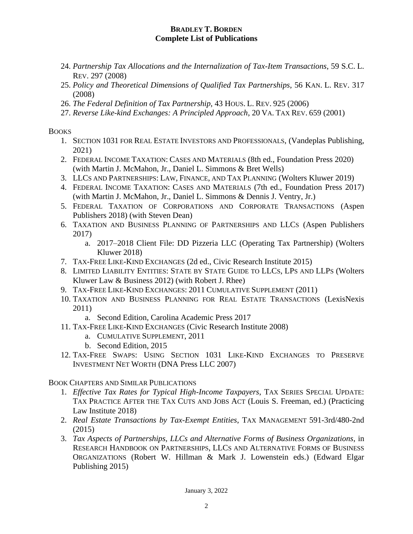- 24. *Partnership Tax Allocations and the Internalization of Tax-Item Transactions*, 59 S.C. L. REV. 297 (2008)
- 25. *Policy and Theoretical Dimensions of Qualified Tax Partnerships*, 56 KAN. L. REV. 317 (2008)
- 26. *The Federal Definition of Tax Partnership*, 43 HOUS. L. REV. 925 (2006)
- 27. *Reverse Like-kind Exchanges: A Principled Approach*, 20 VA. TAX REV. 659 (2001)

# **BOOKS**

- 1. SECTION 1031 FOR REAL ESTATE INVESTORS AND PROFESSIONALS, (Vandeplas Publishing, 2021)
- 2. FEDERAL INCOME TAXATION: CASES AND MATERIALS (8th ed., Foundation Press 2020) (with Martin J. McMahon, Jr., Daniel L. Simmons & Bret Wells)
- 3. LLCS AND PARTNERSHIPS: LAW, FINANCE, AND TAX PLANNING (Wolters Kluwer 2019)
- 4. FEDERAL INCOME TAXATION: CASES AND MATERIALS (7th ed., Foundation Press 2017) (with Martin J. McMahon, Jr., Daniel L. Simmons & Dennis J. Ventry, Jr.)
- 5. FEDERAL TAXATION OF CORPORATIONS AND CORPORATE TRANSACTIONS (Aspen Publishers 2018) (with Steven Dean)
- 6. TAXATION AND BUSINESS PLANNING OF PARTNERSHIPS AND LLCS (Aspen Publishers 2017)
	- a. 2017–2018 Client File: DD Pizzeria LLC (Operating Tax Partnership) (Wolters Kluwer 2018)
- 7. TAX-FREE LIKE-KIND EXCHANGES (2d ed., Civic Research Institute 2015)
- 8. LIMITED LIABILITY ENTITIES: STATE BY STATE GUIDE TO LLCS, LPS AND LLPS (Wolters Kluwer Law & Business 2012) (with Robert J. Rhee)
- 9. TAX-FREE LIKE-KIND EXCHANGES: 2011 CUMULATIVE SUPPLEMENT (2011)
- 10. TAXATION AND BUSINESS PLANNING FOR REAL ESTATE TRANSACTIONS (LexisNexis 2011)
	- a. Second Edition, Carolina Academic Press 2017
- 11. TAX-FREE LIKE-KIND EXCHANGES (Civic Research Institute 2008)
	- a. CUMULATIVE SUPPLEMENT, 2011
	- b. Second Edition, 2015
- 12. TAX-FREE SWAPS: USING SECTION 1031 LIKE-KIND EXCHANGES TO PRESERVE INVESTMENT NET WORTH (DNA Press LLC 2007)

BOOK CHAPTERS AND SIMILAR PUBLICATIONS

- 1. *Effective Tax Rates for Typical High-Income Taxpayers*, TAX SERIES SPECIAL UPDATE: TAX PRACTICE AFTER THE TAX CUTS AND JOBS ACT (Louis S. Freeman, ed.) (Practicing Law Institute 2018)
- 2. *Real Estate Transactions by Tax-Exempt Entities*, TAX MANAGEMENT 591-3rd/480-2nd (2015)
- 3. *Tax Aspects of Partnerships, LLCs and Alternative Forms of Business Organizations*, in RESEARCH HANDBOOK ON PARTNERSHIPS, LLCS AND ALTERNATIVE FORMS OF BUSINESS ORGANIZATIONS (Robert W. Hillman & Mark J. Lowenstein eds.) (Edward Elgar Publishing 2015)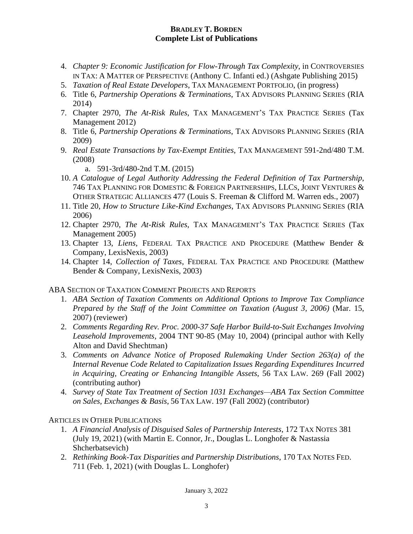- 4. *Chapter 9: Economic Justification for Flow-Through Tax Complexity*, in CONTROVERSIES IN TAX: A MATTER OF PERSPECTIVE (Anthony C. Infanti ed.) (Ashgate Publishing 2015)
- 5. *Taxation of Real Estate Developers*, TAX MANAGEMENT PORTFOLIO, (in progress)
- 6. Title 6, *Partnership Operations & Terminations*, TAX ADVISORS PLANNING SERIES (RIA 2014)
- 7. Chapter 2970, *The At-Risk Rules*, TAX MANAGEMENT'S TAX PRACTICE SERIES (Tax Management 2012)
- 8. Title 6, *Partnership Operations & Terminations*, TAX ADVISORS PLANNING SERIES (RIA 2009)
- 9. *Real Estate Transactions by Tax-Exempt Entities*, TAX MANAGEMENT 591-2nd/480 T.M. (2008)
	- a. 591-3rd/480-2nd T.M. (2015)
- 10. *A Catalogue of Legal Authority Addressing the Federal Definition of Tax Partnership*, 746 TAX PLANNING FOR DOMESTIC & FOREIGN PARTNERSHIPS, LLCS, JOINT VENTURES & OTHER STRATEGIC ALLIANCES 477 (Louis S. Freeman & Clifford M. Warren eds., 2007)
- 11. Title 20, *How to Structure Like-Kind Exchanges*, TAX ADVISORS PLANNING SERIES (RIA 2006)
- 12. Chapter 2970, *The At-Risk Rules*, TAX MANAGEMENT'S TAX PRACTICE SERIES (Tax Management 2005)
- 13. Chapter 13, *Liens*, FEDERAL TAX PRACTICE AND PROCEDURE (Matthew Bender & Company, LexisNexis, 2003)
- 14. Chapter 14, *Collection of Taxes*, FEDERAL TAX PRACTICE AND PROCEDURE (Matthew Bender & Company, LexisNexis, 2003)

ABA SECTION OF TAXATION COMMENT PROJECTS AND REPORTS

- 1. *ABA Section of Taxation Comments on Additional Options to Improve Tax Compliance Prepared by the Staff of the Joint Committee on Taxation (August 3, 2006)* (Mar. 15, 2007) (reviewer)
- 2. *Comments Regarding Rev. Proc. 2000-37 Safe Harbor Build-to-Suit Exchanges Involving Leasehold Improvements,* 2004 TNT 90-85 (May 10, 2004) (principal author with Kelly Alton and David Shechtman)
- 3. *Comments on Advance Notice of Proposed Rulemaking Under Section 263(a) of the Internal Revenue Code Related to Capitalization Issues Regarding Expenditures Incurred in Acquiring, Creating or Enhancing Intangible Assets*, 56 TAX LAW. 269 (Fall 2002) (contributing author)
- 4. *Survey of State Tax Treatment of Section 1031 Exchanges—ABA Tax Section Committee on Sales, Exchanges & Basis*, 56 TAX LAW. 197 (Fall 2002) (contributor)

ARTICLES IN OTHER PUBLICATIONS

- 1. *A Financial Analysis of Disguised Sales of Partnership Interests*, 172 TAX NOTES 381 (July 19, 2021) (with Martin E. Connor, Jr., Douglas L. Longhofer & Nastassia Shcherbatsevich)
- 2. *Rethinking Book-Tax Disparities and Partnership Distributions*, 170 TAX NOTES FED. 711 (Feb. 1, 2021) (with Douglas L. Longhofer)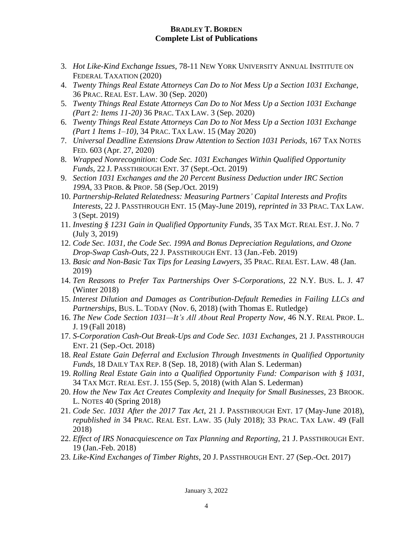- 3. *Hot Like-Kind Exchange Issues*, 78-11 NEW YORK UNIVERSITY ANNUAL INSTITUTE ON FEDERAL TAXATION (2020)
- 4. *Twenty Things Real Estate Attorneys Can Do to Not Mess Up a Section 1031 Exchange*, 36 PRAC. REAL EST. LAW. 30 (Sep. 2020)
- 5. *Twenty Things Real Estate Attorneys Can Do to Not Mess Up a Section 1031 Exchange (Part 2: Items 11-20)* 36 PRAC. TAX LAW. 3 (Sep. 2020)
- 6. *Twenty Things Real Estate Attorneys Can Do to Not Mess Up a Section 1031 Exchange (Part 1 Items 1–10)*, 34 PRAC. TAX LAW. 15 (May 2020)
- 7. *Universal Deadline Extensions Draw Attention to Section 1031 Periods*, 167 TAX NOTES FED. 603 (Apr. 27, 2020)
- 8. *Wrapped Nonrecognition: Code Sec. 1031 Exchanges Within Qualified Opportunity Funds*, 22 J. PASSTHROUGH ENT. 37 (Sept.-Oct. 2019)
- 9. *Section 1031 Exchanges and the 20 Percent Business Deduction under IRC Section 199A*, 33 PROB. & PROP. 58 (Sep./Oct. 2019)
- 10. *Partnership-Related Relatedness: Measuring Partners' Capital Interests and Profits Interests*, 22 J. PASSTHROUGH ENT. 15 (May-June 2019), *reprinted in* 33 PRAC. TAX LAW. 3 (Sept. 2019)
- 11. *Investing § 1231 Gain in Qualified Opportunity Funds*, 35 TAX MGT. REAL EST. J. No. 7 (July 3, 2019)
- 12. *Code Sec. 1031, the Code Sec. 199A and Bonus Depreciation Regulations, and Ozone Drop-Swap Cash-Outs,* 22 J. PASSTHROUGH ENT. 13 (Jan.-Feb. 2019)
- 13. *Basic and Non-Basic Tax Tips for Leasing Lawyers*, 35 PRAC. REAL EST. LAW. 48 (Jan. 2019)
- 14. *Ten Reasons to Prefer Tax Partnerships Over S-Corporations*, 22 N.Y. BUS. L. J. 47 (Winter 2018)
- 15. *Interest Dilution and Damages as Contribution-Default Remedies in Failing LLCs and Partnerships*, BUS. L. TODAY (Nov. 6, 2018) (with Thomas E. Rutledge)
- 16. *The New Code Section 1031—It's All About Real Property Now*, 46 N.Y. REAL PROP. L. J. 19 (Fall 2018)
- 17. *S-Corporation Cash-Out Break-Ups and Code Sec. 1031 Exchanges*, 21 J. PASSTHROUGH ENT. 21 (Sep.-Oct. 2018)
- 18. *Real Estate Gain Deferral and Exclusion Through Investments in Qualified Opportunity Funds*, 18 DAILY TAX REP. 8 (Sep. 18, 2018) (with Alan S. Lederman)
- 19. *Rolling Real Estate Gain into a Qualified Opportunity Fund: Comparison with § 1031*, 34 TAX MGT. REAL EST. J. 155 (Sep. 5, 2018) (with Alan S. Lederman)
- 20. *How the New Tax Act Creates Complexity and Inequity for Small Businesses*, 23 BROOK. L. NOTES 40 (Spring 2018)
- 21. *Code Sec. 1031 After the 2017 Tax Act*, 21 J. PASSTHROUGH ENT. 17 (May-June 2018), *republished in* 34 PRAC. REAL EST. LAW. 35 (July 2018); 33 PRAC. TAX LAW. 49 (Fall 2018)
- 22. *Effect of IRS Nonacquiescence on Tax Planning and Reporting*, 21 J. PASSTHROUGH ENT. 19 (Jan.-Feb. 2018)
- 23. *Like-Kind Exchanges of Timber Rights*, 20 J. PASSTHROUGH ENT. 27 (Sep.-Oct. 2017)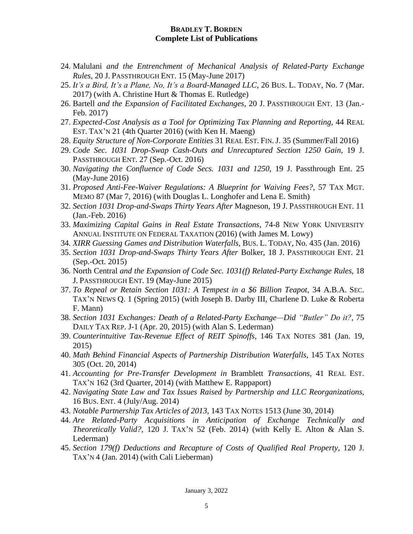- 24. Malulani *and the Entrenchment of Mechanical Analysis of Related-Party Exchange Rules*, 20 J. PASSTHROUGH ENT. 15 (May-June 2017)
- 25. *It's a Bird, It's a Plane, No, It's a Board-Managed LLC*, 26 BUS. L. TODAY, No. 7 (Mar. 2017) (with A. Christine Hurt & Thomas E. Rutledge)
- 26. Bartell *and the Expansion of Facilitated Exchanges*, 20 J. PASSTHROUGH ENT. 13 (Jan.- Feb. 2017)
- 27. *Expected-Cost Analysis as a Tool for Optimizing Tax Planning and Reporting*, 44 REAL EST. TAX'N 21 (4th Quarter 2016) (with Ken H. Maeng)
- 28. *Equity Structure of Non-Corporate Entities* 31 REAL EST. FIN. J. 35 (Summer/Fall 2016)
- 29. *Code Sec. 1031 Drop-Swap Cash-Outs and Unrecaptured Section 1250 Gain*, 19 J. PASSTHROUGH ENT. 27 (Sep.-Oct. 2016)
- 30. *Navigating the Confluence of Code Secs. 1031 and 1250*, 19 J. Passthrough Ent. 25 (May-June 2016)
- 31. *Proposed Anti-Fee-Waiver Regulations: A Blueprint for Waiving Fees?*, 57 TAX MGT. MEMO 87 (Mar 7, 2016) (with Douglas L. Longhofer and Lena E. Smith)
- 32. *Section 1031 Drop-and-Swaps Thirty Years After* Magneson, 19 J. PASSTHROUGH ENT. 11 (Jan.-Feb. 2016)
- 33. *Maximizing Capital Gains in Real Estate Transactions*, 74-8 NEW YORK UNIVERSITY ANNUAL INSTITUTE ON FEDERAL TAXATION (2016) (with James M. Lowy)
- 34. *XIRR Guessing Games and Distribution Waterfalls*, BUS. L. TODAY, No. 435 (Jan. 2016)
- 35. *Section 1031 Drop-and-Swaps Thirty Years After* Bolker, 18 J. PASSTHROUGH ENT. 21 (Sep.-Oct. 2015)
- 36. North Central *and the Expansion of Code Sec. 1031(f) Related-Party Exchange Rules*, 18 J. PASSTHROUGH ENT. 19 (May-June 2015)
- 37. *To Repeal or Retain Section 1031: A Tempest in a \$6 Billion Teapot*, 34 A.B.A. SEC. TAX'N NEWS Q. 1 (Spring 2015) (with Joseph B. Darby III, Charlene D. Luke & Roberta F. Mann)
- 38. *Section 1031 Exchanges: Death of a Related-Party Exchange—Did "Butler" Do it?*, 75 DAILY TAX REP. J-1 (Apr. 20, 2015) (with Alan S. Lederman)
- 39. *Counterintuitive Tax-Revenue Effect of REIT Spinoffs*, 146 TAX NOTES 381 (Jan. 19, 2015)
- 40. *Math Behind Financial Aspects of Partnership Distribution Waterfalls*, 145 TAX NOTES 305 (Oct. 20, 2014)
- 41. *Accounting for Pre-Transfer Development in* Bramblett *Transactions*, 41 REAL EST. TAX'N 162 (3rd Quarter, 2014) (with Matthew E. Rappaport)
- 42. *Navigating State Law and Tax Issues Raised by Partnership and LLC Reorganizations*, 16 BUS. ENT. 4 (July/Aug. 2014)
- 43. *Notable Partnership Tax Articles of 2013*, 143 TAX NOTES 1513 (June 30, 2014)
- 44. *Are Related-Party Acquisitions in Anticipation of Exchange Technically and Theoretically Valid?*, 120 J. TAX'N 52 (Feb. 2014) (with Kelly E. Alton & Alan S. Lederman)
- 45. *Section 179(f) Deductions and Recapture of Costs of Qualified Real Property*, 120 J. TAX'N 4 (Jan. 2014) (with Cali Lieberman)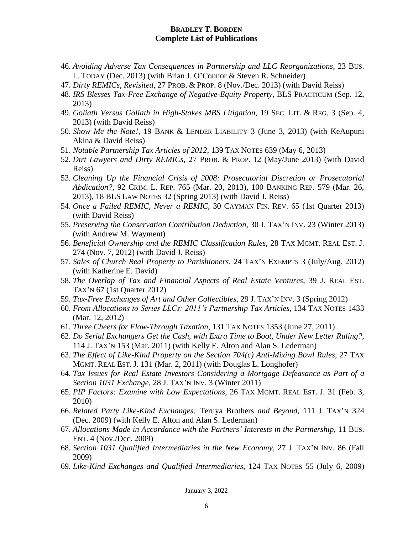- 46. *Avoiding Adverse Tax Consequences in Partnership and LLC Reorganizations*, 23 BUS. L. TODAY (Dec. 2013) (with Brian J. O'Connor & Steven R. Schneider)
- 47. *Dirty REMICs, Revisited*, 27 PROB. & PROP. 8 (Nov./Dec. 2013) (with David Reiss)
- 48. *IRS Blesses Tax-Free Exchange of Negative-Equity Property*, BLS PRACTICUM (Sep. 12, 2013)
- 49. *Goliath Versus Goliath in High-Stakes MBS Litigation*, 19 SEC. LIT. & REG. 3 (Sep. 4, 2013) (with David Reiss)
- 50. *Show Me the Note!*, 19 BANK & LENDER LIABILITY 3 (June 3, 2013) (with KeAupuni Akina & David Reiss)
- 51. *Notable Partnership Tax Articles of 2012*, 139 TAX NOTES 639 (May 6, 2013)
- 52. *Dirt Lawyers and Dirty REMICs*, 27 PROB. & PROP. 12 (May/June 2013) (with David Reiss)
- 53. *Cleaning Up the Financial Crisis of 2008: Prosecutorial Discretion or Prosecutorial Abdication?*, 92 CRIM. L. REP. 765 (Mar. 20, 2013), 100 BANKING REP. 579 (Mar. 26, 2013), 18 BLS LAW NOTES 32 (Spring 2013) (with David J. Reiss)
- 54. *Once a Failed REMIC, Never a REMIC*, 30 CAYMAN FIN. REV. 65 (1st Quarter 2013) (with David Reiss)
- 55. *Preserving the Conservation Contribution Deduction*, 30 J. TAX'N INV. 23 (Winter 2013) (with Andrew M. Wayment)
- 56. *Beneficial Ownership and the REMIC Classification Rules*, 28 TAX MGMT. REAL EST. J. 274 (Nov. 7, 2012) (with David J. Reiss)
- 57. *Sales of Church Real Property to Parishioners*, 24 TAX'N EXEMPTS 3 (July/Aug. 2012) (with Katherine E. David)
- 58. *The Overlap of Tax and Financial Aspects of Real Estate Ventures*, 39 J. REAL EST. TAX'N 67 (1st Quarter 2012)
- 59. *Tax-Free Exchanges of Art and Other Collectibles*, 29 J. TAX'N INV. 3 (Spring 2012)
- 60. *From Allocations to Series LLCs: 2011's Partnership Tax Articles*, 134 TAX NOTES 1433 (Mar. 12, 2012)
- 61. *Three Cheers for Flow-Through Taxation*, 131 TAX NOTES 1353 (June 27, 2011)
- 62. *Do Serial Exchangers Get the Cash, with Extra Time to Boot, Under New Letter Ruling?*, 114 J. TAX'N 153 (Mar. 2011) (with Kelly E. Alton and Alan S. Lederman)
- 63. *The Effect of Like-Kind Property on the Section 704(c) Anti-Mixing Bowl Rules*, 27 TAX MGMT. REAL EST. J. 131 (Mar. 2, 2011) (with Douglas L. Longhofer)
- 64. *Tax Issues for Real Estate Investors Considering a Mortgage Defeasance as Part of a Section 1031 Exchange*, 28 J. TAX'N INV. 3 (Winter 2011)
- 65. *PIP Factors: Examine with Low Expectations*, 26 TAX MGMT. REAL EST. J. 31 (Feb. 3, 2010)
- 66. *Related Party Like-Kind Exchanges:* Teruya Brothers *and Beyond*, 111 J. TAX'N 324 (Dec. 2009) (with Kelly E. Alton and Alan S. Lederman)
- 67. *Allocations Made in Accordance with the Partners' Interests in the Partnership*, 11 BUS. ENT. 4 (Nov./Dec. 2009)
- 68. *Section 1031 Qualified Intermediaries in the New Economy*, 27 J. TAX'N INV. 86 (Fall 2009)
- 69. *Like-Kind Exchanges and Qualified Intermediaries*, 124 TAX NOTES 55 (July 6, 2009)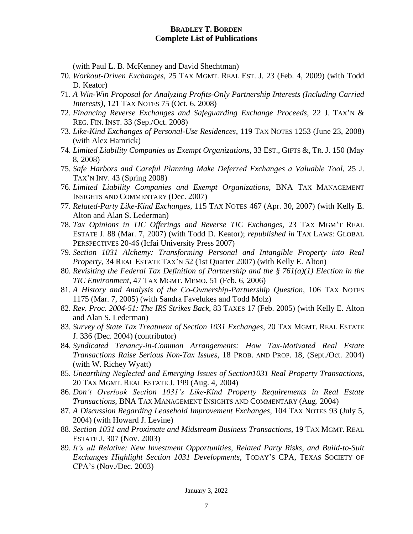(with Paul L. B. McKenney and David Shechtman)

- 70. *Workout-Driven Exchanges*, 25 TAX MGMT. REAL EST. J. 23 (Feb. 4, 2009) (with Todd D. Keator)
- 71. *A Win-Win Proposal for Analyzing Profits-Only Partnership Interests (Including Carried Interests)*, 121 TAX NOTES 75 (Oct. 6, 2008)
- 72. *Financing Reverse Exchanges and Safeguarding Exchange Proceeds*, 22 J. TAX'N & REG. FIN. INST. 33 (Sep./Oct. 2008)
- 73. *Like-Kind Exchanges of Personal-Use Residences*, 119 TAX NOTES 1253 (June 23, 2008) (with Alex Hamrick)
- 74. *Limited Liability Companies as Exempt Organizations*, 33 EST., GIFTS &, TR. J. 150 (May 8, 2008)
- 75. *Safe Harbors and Careful Planning Make Deferred Exchanges a Valuable Tool*, 25 J. TAX'N INV. 43 (Spring 2008)
- 76. *Limited Liability Companies and Exempt Organizations*, BNA TAX MANAGEMENT INSIGHTS AND COMMENTARY (Dec. 2007)
- 77. *Related-Party Like-Kind Exchanges*, 115 TAX NOTES 467 (Apr. 30, 2007) (with Kelly E. Alton and Alan S. Lederman)
- 78. *Tax Opinions in TIC Offerings and Reverse TIC Exchanges*, 23 TAX MGM'T REAL ESTATE J. 88 (Mar. 7, 2007) (with Todd D. Keator); *republished in* TAX LAWS: GLOBAL PERSPECTIVES 20-46 (Icfai University Press 2007)
- 79. *Section 1031 Alchemy: Transforming Personal and Intangible Property into Real Property*, 34 REAL ESTATE TAX'N 52 (1st Quarter 2007) (with Kelly E. Alton)
- 80. *Revisiting the Federal Tax Definition of Partnership and the § 761(a)(1) Election in the TIC Environment*, 47 TAX MGMT. MEMO. 51 (Feb. 6, 2006)
- 81. *A History and Analysis of the Co-Ownership-Partnership Question*, 106 TAX NOTES 1175 (Mar. 7, 2005) (with Sandra Favelukes and Todd Molz)
- 82. *Rev. Proc. 2004-51: The IRS Strikes Back*, 83 TAXES 17 (Feb. 2005) (with Kelly E. Alton and Alan S. Lederman)
- 83. *Survey of State Tax Treatment of Section 1031 Exchanges*, 20 TAX MGMT. REAL ESTATE J. 336 (Dec. 2004) (contributor)
- 84. *Syndicated Tenancy-in-Common Arrangements: How Tax-Motivated Real Estate Transactions Raise Serious Non-Tax Issues,* 18 PROB. AND PROP. 18, (Sept./Oct. 2004) (with W. Richey Wyatt)
- 85. *Unearthing Neglected and Emerging Issues of Section1031 Real Property Transactions,* 20 TAX MGMT. REAL ESTATE J. 199 (Aug. 4, 2004)
- 86. *Don't Overlook Section 1031's Like-Kind Property Requirements in Real Estate Transactions*, BNA TAX MANAGEMENT INSIGHTS AND COMMENTARY (Aug. 2004)
- 87. *A Discussion Regarding Leasehold Improvement Exchanges*, 104 TAX NOTES 93 (July 5, 2004) (with Howard J. Levine)
- 88. *Section 1031 and Proximate and Midstream Business Transactions*, 19 TAX MGMT. REAL ESTATE J. 307 (Nov. 2003)
- 89. *It's all Relative: New Investment Opportunities, Related Party Risks, and Build-to-Suit Exchanges Highlight Section 1031 Developments*, TODAY'S CPA, TEXAS SOCIETY OF CPA'S (Nov./Dec. 2003)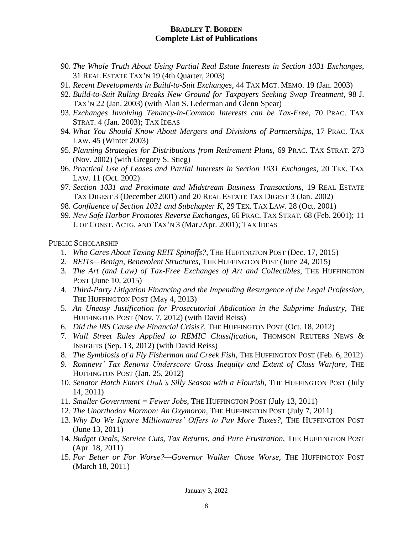- 90. *The Whole Truth About Using Partial Real Estate Interests in Section 1031 Exchanges*, 31 REAL ESTATE TAX'N 19 (4th Quarter, 2003)
- 91. *Recent Developments in Build-to-Suit Exchanges*, 44 TAX MGT. MEMO. 19 (Jan. 2003)
- 92. *Build-to-Suit Ruling Breaks New Ground for Taxpayers Seeking Swap Treatment*, 98 J. TAX'N 22 (Jan. 2003) (with Alan S. Lederman and Glenn Spear)
- 93. *Exchanges Involving Tenancy-in-Common Interests can be Tax-Free*, 70 PRAC. TAX STRAT. 4 (Jan. 2003); TAX IDEAS
- 94. *What You Should Know About Mergers and Divisions of Partnerships*, 17 PRAC. TAX LAW. 45 (Winter 2003)
- 95. *Planning Strategies for Distributions from Retirement Plans*, 69 PRAC. TAX STRAT. 273 (Nov. 2002) (with Gregory S. Stieg)
- 96. *Practical Use of Leases and Partial Interests in Section 1031 Exchanges*, 20 TEX. TAX LAW. 11 (Oct. 2002)
- 97. *Section 1031 and Proximate and Midstream Business Transactions*, 19 REAL ESTATE TAX DIGEST 3 (December 2001) and 20 REAL ESTATE TAX DIGEST 3 (Jan. 2002)
- 98. *Confluence of Section 1031 and Subchapter K*, 29 TEX. TAX LAW. 28 (Oct. 2001)
- 99. *New Safe Harbor Promotes Reverse Exchanges*, 66 PRAC. TAX STRAT. 68 (Feb. 2001); 11 J. OF CONST. ACTG. AND TAX'N 3 (Mar./Apr. 2001); TAX IDEAS

PUBLIC SCHOLARSHIP

- 1. *Who Cares About Taxing REIT Spinoffs?*, THE HUFFINGTON POST (Dec. 17, 2015)
- 2. *REITs—Benign, Benevolent Structures*, THE HUFFINGTON POST (June 24, 2015)
- 3. *The Art (and Law) of Tax-Free Exchanges of Art and Collectibles*, THE HUFFINGTON POST (June 10, 2015)
- 4. *Third-Party Litigation Financing and the Impending Resurgence of the Legal Profession*, THE HUFFINGTON POST (May 4, 2013)
- 5. *An Uneasy Justification for Prosecutorial Abdication in the Subprime Industry*, THE HUFFINGTON POST (Nov. 7, 2012) (with David Reiss)
- 6. *Did the IRS Cause the Financial Crisis?*, THE HUFFINGTON POST (Oct. 18, 2012)
- 7. *Wall Street Rules Applied to REMIC Classification*, THOMSON REUTERS NEWS & INSIGHTS (Sep. 13, 2012) (with David Reiss)
- 8. *The Symbiosis of a Fly Fisherman and Creek Fish*, THE HUFFINGTON POST (Feb. 6, 2012)
- 9. *Romneys' Tax Returns Underscore Gross Inequity and Extent of Class Warfare*, THE HUFFINGTON POST (Jan. 25, 2012)
- 10. *Senator Hatch Enters Utah's Silly Season with a Flourish*, THE HUFFINGTON POST (July 14, 2011)
- 11. *Smaller Government = Fewer Jobs*, THE HUFFINGTON POST (July 13, 2011)
- 12. *The Unorthodox Mormon: An Oxymoron*, THE HUFFINGTON POST (July 7, 2011)
- 13. *Why Do We Ignore Millionaires' Offers to Pay More Taxes?*, THE HUFFINGTON POST (June 13, 2011)
- 14. *Budget Deals, Service Cuts, Tax Returns, and Pure Frustration*, THE HUFFINGTON POST (Apr. 18, 2011)
- 15. *For Better or For Worse?—Governor Walker Chose Worse*, THE HUFFINGTON POST (March 18, 2011)